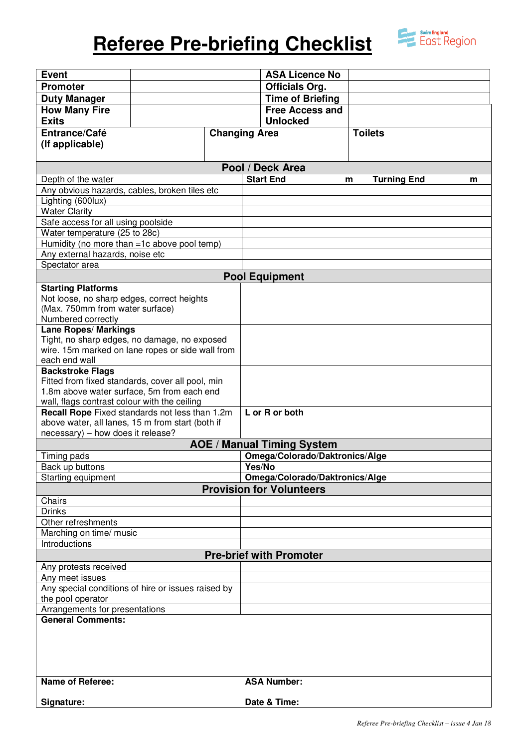# **Referee Pre-briefing Checklist**



| <b>Event</b>                                                                          |  |                      |                       | <b>ASA Licence No</b>          |                         |   |
|---------------------------------------------------------------------------------------|--|----------------------|-----------------------|--------------------------------|-------------------------|---|
| <b>Promoter</b>                                                                       |  |                      | <b>Officials Org.</b> |                                |                         |   |
| <b>Duty Manager</b>                                                                   |  |                      |                       | <b>Time of Briefing</b>        |                         |   |
| <b>How Many Fire</b>                                                                  |  |                      |                       | <b>Free Access and</b>         |                         |   |
| <b>Exits</b>                                                                          |  |                      |                       | <b>Unlocked</b>                |                         |   |
| Entrance/Café                                                                         |  | <b>Changing Area</b> |                       |                                | <b>Toilets</b>          |   |
| (If applicable)                                                                       |  |                      |                       |                                |                         |   |
|                                                                                       |  |                      |                       |                                |                         |   |
| Pool / Deck Area                                                                      |  |                      |                       |                                |                         |   |
| Depth of the water                                                                    |  |                      |                       | <b>Start End</b>               | <b>Turning End</b><br>m | m |
| Any obvious hazards, cables, broken tiles etc                                         |  |                      |                       |                                |                         |   |
| Lighting (600lux)                                                                     |  |                      |                       |                                |                         |   |
| <b>Water Clarity</b>                                                                  |  |                      |                       |                                |                         |   |
| Safe access for all using poolside                                                    |  |                      |                       |                                |                         |   |
| Water temperature (25 to 28c)                                                         |  |                      |                       |                                |                         |   |
| Humidity (no more than =1c above pool temp)                                           |  |                      |                       |                                |                         |   |
| Any external hazards, noise etc                                                       |  |                      |                       |                                |                         |   |
| Spectator area                                                                        |  |                      |                       |                                |                         |   |
| <b>Pool Equipment</b>                                                                 |  |                      |                       |                                |                         |   |
| <b>Starting Platforms</b>                                                             |  |                      |                       |                                |                         |   |
| Not loose, no sharp edges, correct heights                                            |  |                      |                       |                                |                         |   |
| (Max. 750mm from water surface)                                                       |  |                      |                       |                                |                         |   |
| Numbered correctly<br><b>Lane Ropes/ Markings</b>                                     |  |                      |                       |                                |                         |   |
| Tight, no sharp edges, no damage, no exposed                                          |  |                      |                       |                                |                         |   |
| wire. 15m marked on lane ropes or side wall from                                      |  |                      |                       |                                |                         |   |
| each end wall                                                                         |  |                      |                       |                                |                         |   |
| <b>Backstroke Flags</b>                                                               |  |                      |                       |                                |                         |   |
| Fitted from fixed standards, cover all pool, min                                      |  |                      |                       |                                |                         |   |
| 1.8m above water surface, 5m from each end                                            |  |                      |                       |                                |                         |   |
| wall, flags contrast colour with the ceiling                                          |  |                      |                       |                                |                         |   |
| Recall Rope Fixed standards not less than 1.2m                                        |  |                      |                       | L or R or both                 |                         |   |
| above water, all lanes, 15 m from start (both if<br>necessary) - how does it release? |  |                      |                       |                                |                         |   |
| <b>AOE / Manual Timing System</b>                                                     |  |                      |                       |                                |                         |   |
| Omega/Colorado/Daktronics/Alge<br>Timing pads                                         |  |                      |                       |                                |                         |   |
| Back up buttons                                                                       |  |                      | Yes/No                |                                |                         |   |
| Starting equipment                                                                    |  |                      |                       | Omega/Colorado/Daktronics/Alge |                         |   |
| <b>Provision for Volunteers</b>                                                       |  |                      |                       |                                |                         |   |
| Chairs                                                                                |  |                      |                       |                                |                         |   |
| <b>Drinks</b>                                                                         |  |                      |                       |                                |                         |   |
| Other refreshments                                                                    |  |                      |                       |                                |                         |   |
| Marching on time/ music                                                               |  |                      |                       |                                |                         |   |
| Introductions                                                                         |  |                      |                       |                                |                         |   |
| <b>Pre-brief with Promoter</b>                                                        |  |                      |                       |                                |                         |   |
| Any protests received                                                                 |  |                      |                       |                                |                         |   |
| Any meet issues                                                                       |  |                      |                       |                                |                         |   |
| Any special conditions of hire or issues raised by                                    |  |                      |                       |                                |                         |   |
| the pool operator                                                                     |  |                      |                       |                                |                         |   |
| Arrangements for presentations<br><b>General Comments:</b>                            |  |                      |                       |                                |                         |   |
|                                                                                       |  |                      |                       |                                |                         |   |
|                                                                                       |  |                      |                       |                                |                         |   |
|                                                                                       |  |                      |                       |                                |                         |   |
|                                                                                       |  |                      |                       |                                |                         |   |
|                                                                                       |  |                      |                       |                                |                         |   |
| <b>Name of Referee:</b>                                                               |  |                      |                       | <b>ASA Number:</b>             |                         |   |
|                                                                                       |  |                      |                       |                                |                         |   |
| Signature:                                                                            |  |                      |                       | Date & Time:                   |                         |   |